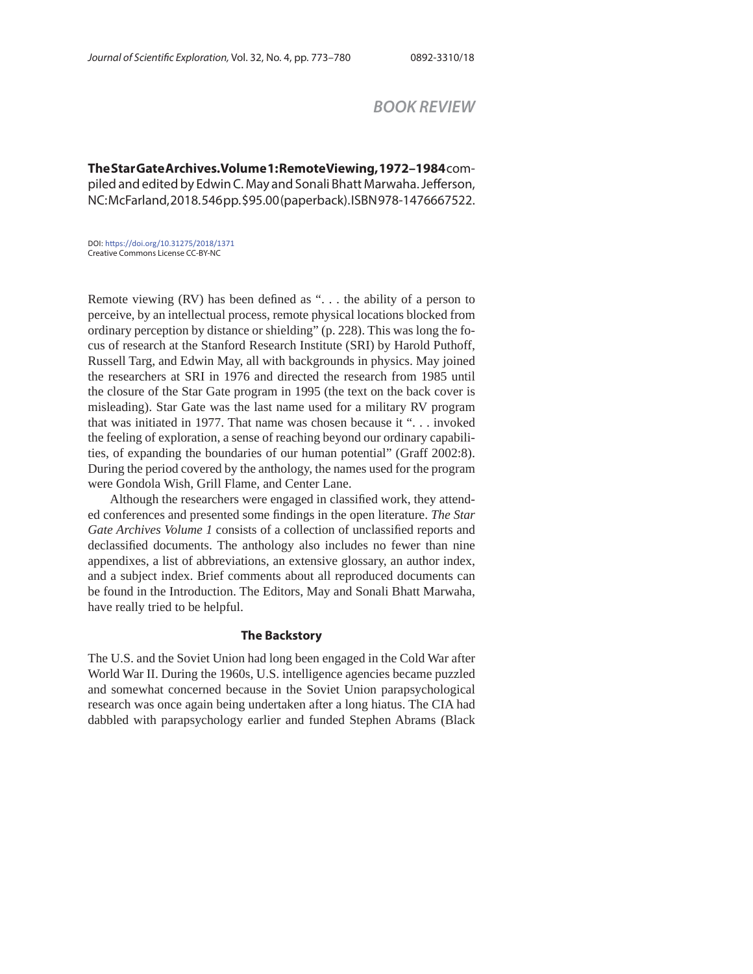# *BOOK REVIEW*

**The Star Gate Archives. Volume 1: Remote Viewing, 1972–1984** compiled and edited by Edwin C. May and Sonali Bhatt Marwaha. Jefferson, NC: McFarland, 2018. 546 pp. \$95.00 (paperback). ISBN 978-1476667522.

DOI: https://doi.org/10.31275/2018/1371 Creative Commons License CC-BY-NC

Remote viewing (RV) has been defined as " $\dots$  the ability of a person to perceive, by an intellectual process, remote physical locations blocked from ordinary perception by distance or shielding" (p. 228). This was long the focus of research at the Stanford Research Institute (SRI) by Harold Puthoff, Russell Targ, and Edwin May, all with backgrounds in physics. May joined the researchers at SRI in 1976 and directed the research from 1985 until the closure of the Star Gate program in 1995 (the text on the back cover is misleading). Star Gate was the last name used for a military RV program that was initiated in 1977. That name was chosen because it ". . . invoked the feeling of exploration, a sense of reaching beyond our ordinary capabilities, of expanding the boundaries of our human potential" (Graff 2002:8). During the period covered by the anthology, the names used for the program were Gondola Wish, Grill Flame, and Center Lane.

Although the researchers were engaged in classified work, they attended conferences and presented some findings in the open literature. *The Star Gate Archives Volume 1* consists of a collection of unclassified reports and declassified documents. The anthology also includes no fewer than nine appendixes, a list of abbreviations, an extensive glossary, an author index, and a subject index. Brief comments about all reproduced documents can be found in the Introduction. The Editors, May and Sonali Bhatt Marwaha, have really tried to be helpful.

### **The Backstory**

The U.S. and the Soviet Union had long been engaged in the Cold War after World War II. During the 1960s, U.S. intelligence agencies became puzzled and somewhat concerned because in the Soviet Union parapsychological research was once again being undertaken after a long hiatus. The CIA had dabbled with parapsychology earlier and funded Stephen Abrams (Black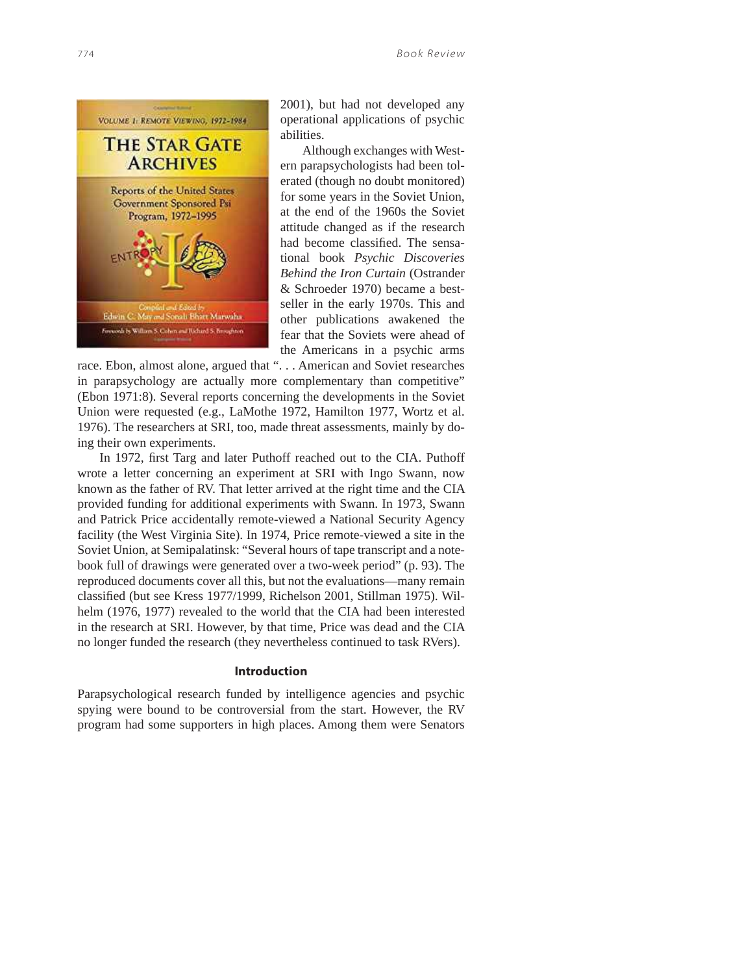

2001), but had not developed any operational applications of psychic abilities.

Although exchanges with Western parapsychologists had been tolerated (though no doubt monitored) for some years in the Soviet Union, at the end of the 1960s the Soviet attitude changed as if the research had become classified. The sensational book *Psychic Discoveries Behind the Iron Curtain* (Ostrander & Schroeder 1970) became a bestseller in the early 1970s. This and other publications awakened the fear that the Soviets were ahead of the Americans in a psychic arms

race. Ebon, almost alone, argued that ". . . American and Soviet researches in parapsychology are actually more complementary than competitive" (Ebon 1971:8). Several reports concerning the developments in the Soviet Union were requested (e.g., LaMothe 1972, Hamilton 1977, Wortz et al. 1976). The researchers at SRI, too, made threat assessments, mainly by doing their own experiments.

In 1972, first Targ and later Puthoff reached out to the CIA. Puthoff wrote a letter concerning an experiment at SRI with Ingo Swann, now known as the father of RV. That letter arrived at the right time and the CIA provided funding for additional experiments with Swann. In 1973, Swann and Patrick Price accidentally remote-viewed a National Security Agency facility (the West Virginia Site). In 1974, Price remote-viewed a site in the Soviet Union, at Semipalatinsk: "Several hours of tape transcript and a notebook full of drawings were generated over a two-week period" (p. 93). The reproduced documents cover all this, but not the evaluations—many remain classified (but see Kress 1977/1999, Richelson 2001, Stillman 1975). Wilhelm (1976, 1977) revealed to the world that the CIA had been interested in the research at SRI. However, by that time, Price was dead and the CIA no longer funded the research (they nevertheless continued to task RVers).

### **Introduction**

Parapsychological research funded by intelligence agencies and psychic spying were bound to be controversial from the start. However, the RV program had some supporters in high places. Among them were Senators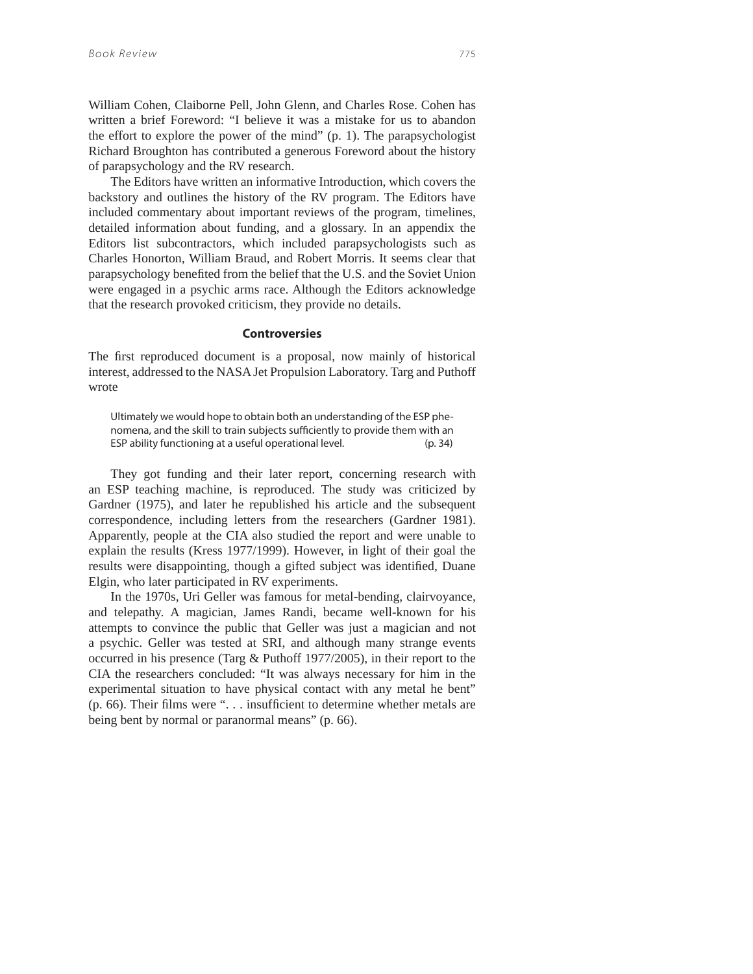William Cohen, Claiborne Pell, John Glenn, and Charles Rose. Cohen has written a brief Foreword: "I believe it was a mistake for us to abandon the effort to explore the power of the mind" (p. 1). The parapsychologist Richard Broughton has contributed a generous Foreword about the history of parapsychology and the RV research.

The Editors have written an informative Introduction, which covers the backstory and outlines the history of the RV program. The Editors have included commentary about important reviews of the program, timelines, detailed information about funding, and a glossary. In an appendix the Editors list subcontractors, which included parapsychologists such as Charles Honorton, William Braud, and Robert Morris. It seems clear that parapsychology benefited from the belief that the U.S. and the Soviet Union were engaged in a psychic arms race. Although the Editors acknowledge that the research provoked criticism, they provide no details.

#### **Controversies**

The first reproduced document is a proposal, now mainly of historical interest, addressed to the NASA Jet Propulsion Laboratory. Targ and Puthoff wrote

Ultimately we would hope to obtain both an understanding of the ESP phenomena, and the skill to train subjects sufficiently to provide them with an ESP ability functioning at a useful operational level. (p. 34)

They got funding and their later report, concerning research with an ESP teaching machine, is reproduced. The study was criticized by Gardner (1975), and later he republished his article and the subsequent correspondence, including letters from the researchers (Gardner 1981). Apparently, people at the CIA also studied the report and were unable to explain the results (Kress 1977/1999). However, in light of their goal the results were disappointing, though a gifted subject was identified, Duane Elgin, who later participated in RV experiments.

In the 1970s, Uri Geller was famous for metal-bending, clairvoyance, and telepathy. A magician, James Randi, became well-known for his attempts to convince the public that Geller was just a magician and not a psychic. Geller was tested at SRI, and although many strange events occurred in his presence (Targ & Puthoff 1977/2005), in their report to the CIA the researchers concluded: "It was always necessary for him in the experimental situation to have physical contact with any metal he bent" (p. 66). Their films were " $\dots$  insufficient to determine whether metals are being bent by normal or paranormal means" (p. 66).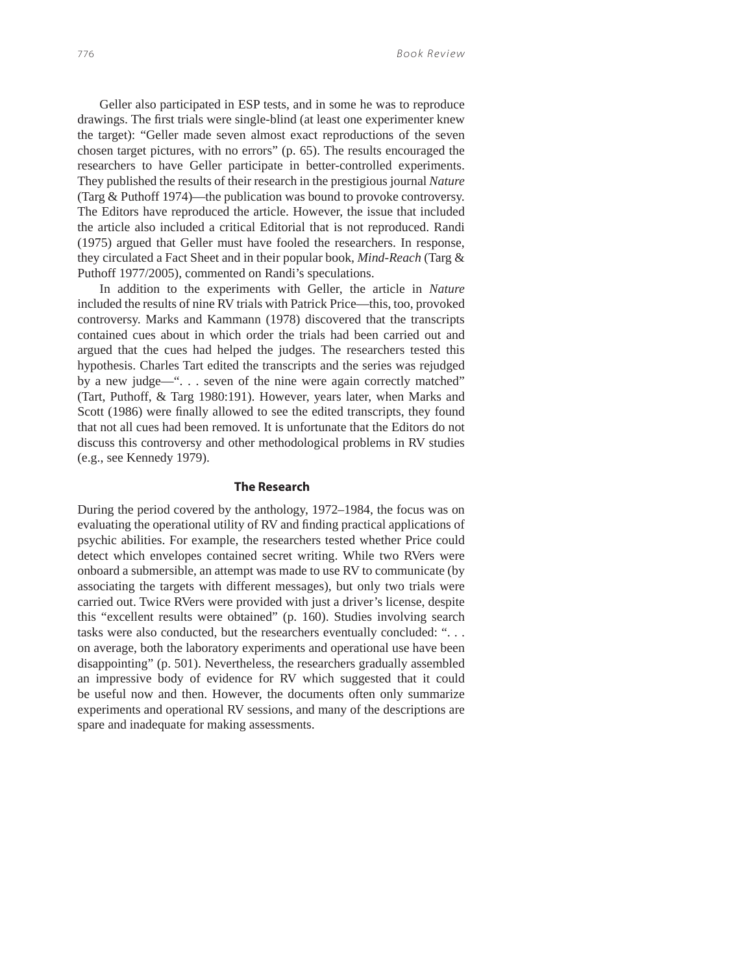Geller also participated in ESP tests, and in some he was to reproduce drawings. The first trials were single-blind (at least one experimenter knew the target): "Geller made seven almost exact reproductions of the seven chosen target pictures, with no errors" (p. 65). The results encouraged the researchers to have Geller participate in better-controlled experiments. They published the results of their research in the prestigious journal *Nature* (Targ & Puthoff 1974)—the publication was bound to provoke controversy. The Editors have reproduced the article. However, the issue that included the article also included a critical Editorial that is not reproduced. Randi (1975) argued that Geller must have fooled the researchers. In response, they circulated a Fact Sheet and in their popular book*, Mind-Reach* (Targ & Puthoff 1977/2005), commented on Randi's speculations.

In addition to the experiments with Geller, the article in *Nature* included the results of nine RV trials with Patrick Price—this, too, provoked controversy. Marks and Kammann (1978) discovered that the transcripts contained cues about in which order the trials had been carried out and argued that the cues had helped the judges. The researchers tested this hypothesis. Charles Tart edited the transcripts and the series was rejudged by a new judge—". . . seven of the nine were again correctly matched" (Tart, Puthoff, & Targ 1980:191). However, years later, when Marks and Scott (1986) were finally allowed to see the edited transcripts, they found that not all cues had been removed. It is unfortunate that the Editors do not discuss this controversy and other methodological problems in RV studies (e.g., see Kennedy 1979).

## **The Research**

During the period covered by the anthology, 1972–1984, the focus was on evaluating the operational utility of RV and finding practical applications of psychic abilities. For example, the researchers tested whether Price could detect which envelopes contained secret writing. While two RVers were onboard a submersible, an attempt was made to use RV to communicate (by associating the targets with different messages), but only two trials were carried out. Twice RVers were provided with just a driver's license, despite this "excellent results were obtained" (p. 160). Studies involving search tasks were also conducted, but the researchers eventually concluded: ". . . on average, both the laboratory experiments and operational use have been disappointing" (p. 501). Nevertheless, the researchers gradually assembled an impressive body of evidence for RV which suggested that it could be useful now and then. However, the documents often only summarize experiments and operational RV sessions, and many of the descriptions are spare and inadequate for making assessments.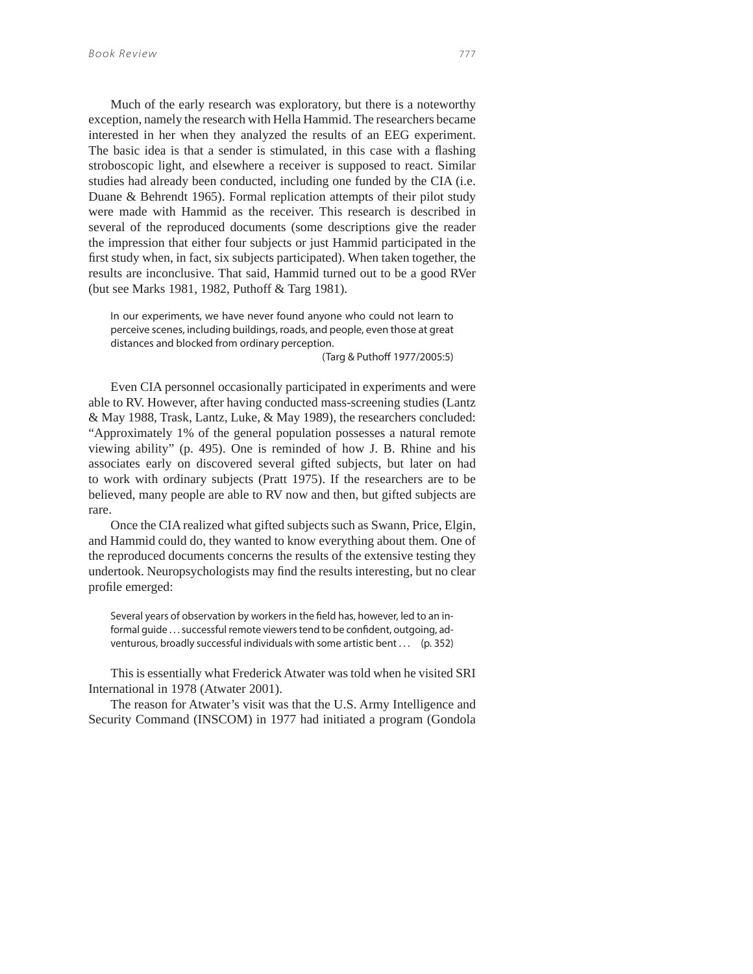Much of the early research was exploratory, but there is a noteworthy exception, namely the research with Hella Hammid. The researchers became interested in her when they analyzed the results of an EEG experiment. The basic idea is that a sender is stimulated, in this case with a flashing stroboscopic light, and elsewhere a receiver is supposed to react. Similar studies had already been conducted, including one funded by the CIA (i.e. Duane & Behrendt 1965). Formal replication attempts of their pilot study were made with Hammid as the receiver. This research is described in several of the reproduced documents (some descriptions give the reader the impression that either four subjects or just Hammid participated in the first study when, in fact, six subjects participated). When taken together, the results are inconclusive. That said, Hammid turned out to be a good RVer (but see Marks 1981, 1982, Puthoff & Targ 1981).

In our experiments, we have never found anyone who could not learn to perceive scenes, including buildings, roads, and people, even those at great distances and blocked from ordinary perception.

(Targ & Puthoff 1977/2005:5)

Even CIA personnel occasionally participated in experiments and were able to RV. However, after having conducted mass-screening studies (Lantz & May 1988, Trask, Lantz, Luke, & May 1989), the researchers concluded: "Approximately 1% of the general population possesses a natural remote viewing ability" (p. 495). One is reminded of how J. B. Rhine and his associates early on discovered several gifted subjects, but later on had to work with ordinary subjects (Pratt 1975). If the researchers are to be believed, many people are able to RV now and then, but gifted subjects are rare.

Once the CIA realized what gifted subjects such as Swann, Price, Elgin, and Hammid could do, they wanted to know everything about them. One of the reproduced documents concerns the results of the extensive testing they undertook. Neuropsychologists may find the results interesting, but no clear profile emerged:

Several years of observation by workers in the field has, however, led to an informal quide . . . successful remote viewers tend to be confident, outgoing, adventurous, broadly successful individuals with some artistic bent . . . (p. 352)

This is essentially what Frederick Atwater was told when he visited SRI International in 1978 (Atwater 2001).

The reason for Atwater's visit was that the U.S. Army Intelligence and Security Command (INSCOM) in 1977 had initiated a program (Gondola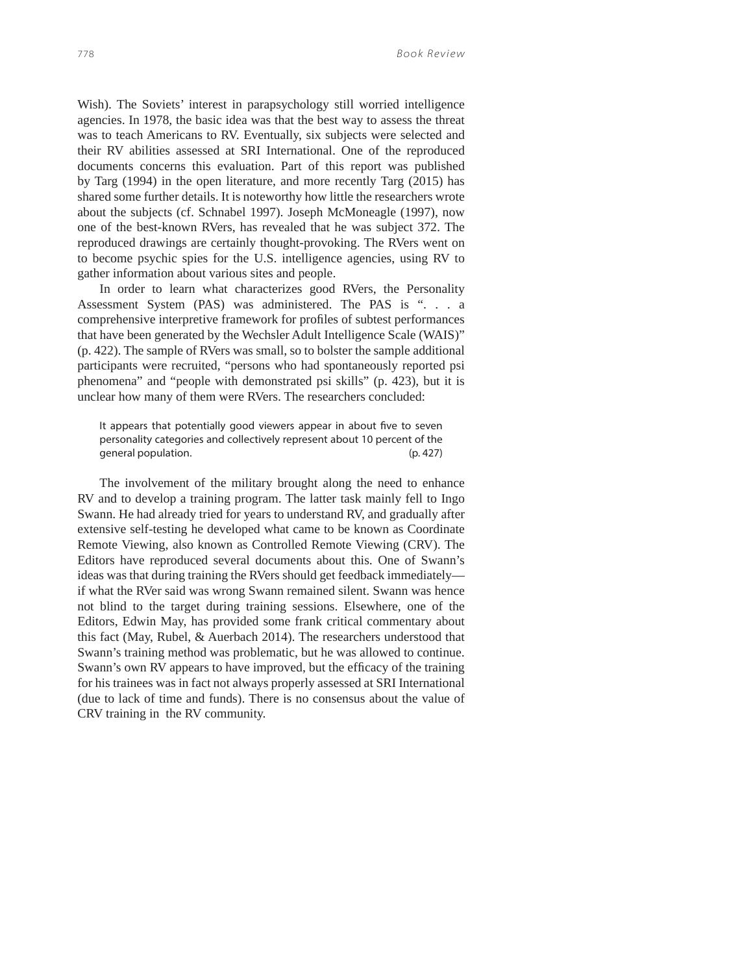Wish). The Soviets' interest in parapsychology still worried intelligence agencies. In 1978, the basic idea was that the best way to assess the threat was to teach Americans to RV. Eventually, six subjects were selected and their RV abilities assessed at SRI International. One of the reproduced documents concerns this evaluation. Part of this report was published by Targ (1994) in the open literature, and more recently Targ (2015) has shared some further details. It is noteworthy how little the researchers wrote about the subjects (cf. Schnabel 1997). Joseph McMoneagle (1997), now one of the best-known RVers, has revealed that he was subject 372. The reproduced drawings are certainly thought-provoking. The RVers went on to become psychic spies for the U.S. intelligence agencies, using RV to gather information about various sites and people.

In order to learn what characterizes good RVers, the Personality Assessment System (PAS) was administered. The PAS is ". . . a comprehensive interpretive framework for profiles of subtest performances that have been generated by the Wechsler Adult Intelligence Scale (WAIS)" (p. 422). The sample of RVers was small, so to bolster the sample additional participants were recruited, "persons who had spontaneously reported psi phenomena" and "people with demonstrated psi skills" (p. 423), but it is unclear how many of them were RVers. The researchers concluded:

It appears that potentially good viewers appear in about five to seven personality categories and collectively represent about 10 percent of the general population. (p. 427)

The involvement of the military brought along the need to enhance RV and to develop a training program. The latter task mainly fell to Ingo Swann. He had already tried for years to understand RV, and gradually after extensive self-testing he developed what came to be known as Coordinate Remote Viewing, also known as Controlled Remote Viewing (CRV). The Editors have reproduced several documents about this. One of Swann's ideas was that during training the RVers should get feedback immediately if what the RVer said was wrong Swann remained silent. Swann was hence not blind to the target during training sessions. Elsewhere, one of the Editors, Edwin May, has provided some frank critical commentary about this fact (May, Rubel, & Auerbach 2014). The researchers understood that Swann's training method was problematic, but he was allowed to continue. Swann's own RV appears to have improved, but the efficacy of the training for his trainees was in fact not always properly assessed at SRI International (due to lack of time and funds). There is no consensus about the value of CRV training in the RV community.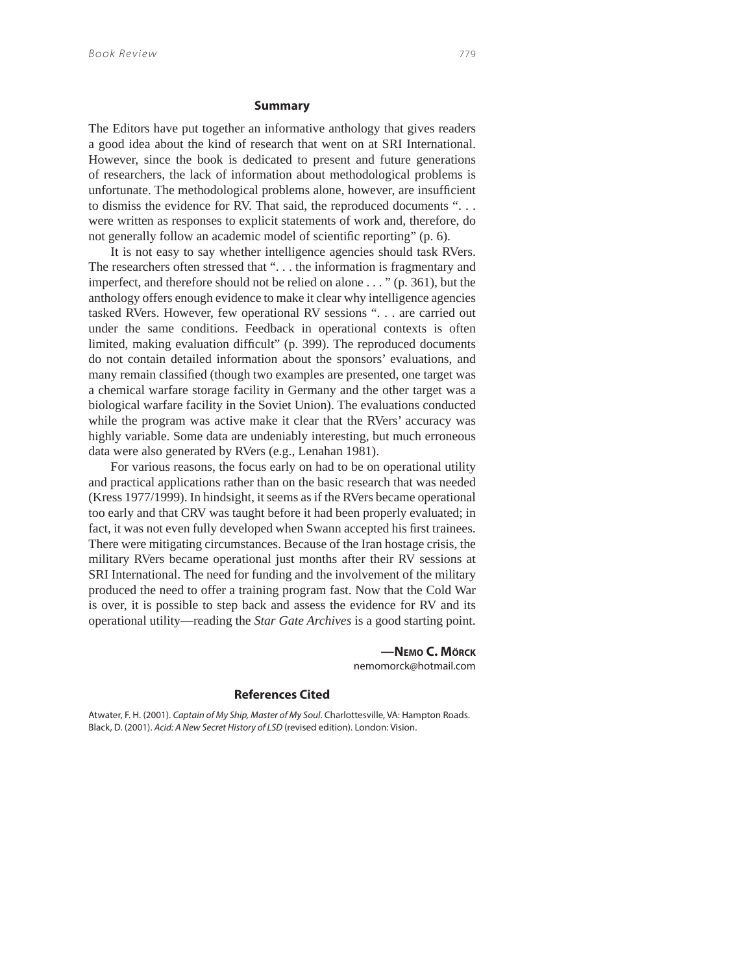#### **Summary**

The Editors have put together an informative anthology that gives readers a good idea about the kind of research that went on at SRI International. However, since the book is dedicated to present and future generations of researchers, the lack of information about methodological problems is unfortunate. The methodological problems alone, however, are insufficient to dismiss the evidence for RV. That said, the reproduced documents ". . . were written as responses to explicit statements of work and, therefore, do not generally follow an academic model of scientific reporting" (p. 6).

It is not easy to say whether intelligence agencies should task RVers. The researchers often stressed that ". . . the information is fragmentary and imperfect, and therefore should not be relied on alone . . . " (p. 361), but the anthology offers enough evidence to make it clear why intelligence agencies tasked RVers. However, few operational RV sessions ". . . are carried out under the same conditions. Feedback in operational contexts is often limited, making evaluation difficult" (p. 399). The reproduced documents do not contain detailed information about the sponsors' evaluations, and many remain classified (though two examples are presented, one target was a chemical warfare storage facility in Germany and the other target was a biological warfare facility in the Soviet Union). The evaluations conducted while the program was active make it clear that the RVers' accuracy was highly variable. Some data are undeniably interesting, but much erroneous data were also generated by RVers (e.g., Lenahan 1981).

For various reasons, the focus early on had to be on operational utility and practical applications rather than on the basic research that was needed (Kress 1977/1999). In hindsight, it seems as if the RVers became operational too early and that CRV was taught before it had been properly evaluated; in fact, it was not even fully developed when Swann accepted his first trainees. There were mitigating circumstances. Because of the Iran hostage crisis, the military RVers became operational just months after their RV sessions at SRI International. The need for funding and the involvement of the military produced the need to offer a training program fast. Now that the Cold War is over, it is possible to step back and assess the evidence for RV and its operational utility—reading the *Star Gate Archives* is a good starting point.

> **—NEMO C. MÖRCK** nemomorck@hotmail.com

#### **References Cited**

Atwater, F. H. (2001). Captain of My Ship, Master of My Soul. Charlottesville, VA: Hampton Roads. Black, D. (2001). Acid: A New Secret History of LSD (revised edition). London: Vision.